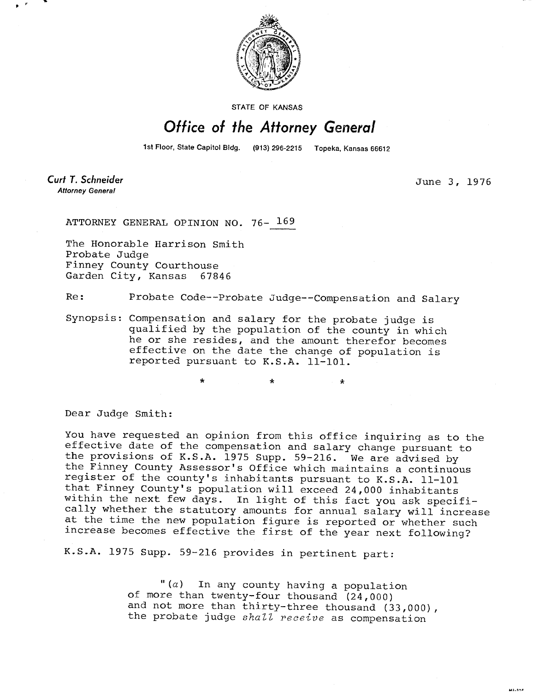

STATE OF KANSAS

## Office of the Attorney General

1st Floor, State Capitol Bldg. (913) 296-2215 Topeka, Kansas 66612

Curt T. Schneider **Attorney General** 

June 3, 1976

ATTORNEY GENERAL OPINION NO. 76- 169

The Honorable Harrison Smith Probate Judge Finney County Courthouse Garden City, Kansas 67846

Re: Probate Code--Probate Judge--Compensation and Salary

Synopsis: Compensation and salary for the probate judge is qualified by the population of the county in which he or she resides, and the amount therefor becomes effective on the date the change of population is reported pursuant to K.S.A. 11-101.

\* \*

Dear Judge Smith:

You have requested an opinion from this office inquiring as to the effective date of the compensation and salary change pursuant to the provisions of K.S.A. 1975 Supp. 59-216. We are advised by the Finney County Assessor's Office which maintains a continuous register of the county's inhabitants pursuant to K.S.A. 11-101 that Finney County's population will exceed 24,000 inhabitants within the next few days. In light of this fact you ask specifically whether the statutory amounts for annual salary will increase at the time the new population figure is reported or whether such increase becomes effective the first of the year next following?

K.S.A. 1975 Supp. 59-216 provides in pertinent part:

 $"(a)$  In any county having a population of more than twenty-four thousand (24,000) and not more than thirty-three thousand (33,000), the probate judge shall receive as compensation